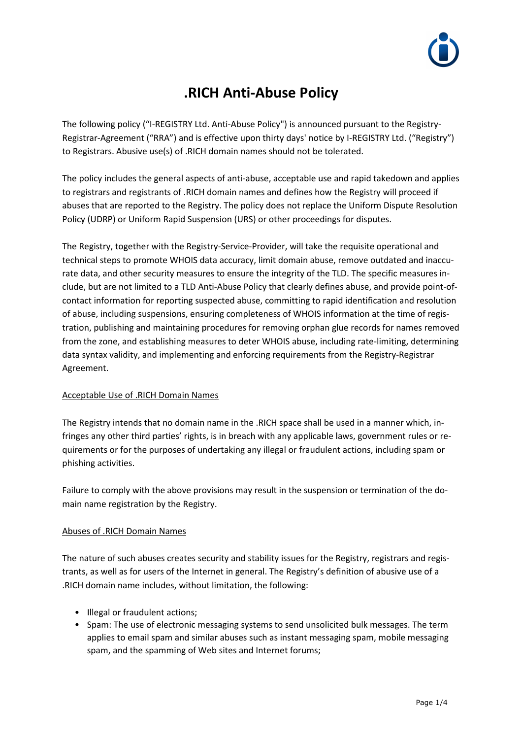

# **.RICH Anti-Abuse Policy**

The following policy ("I-REGISTRY Ltd. Anti-Abuse Policy") is announced pursuant to the Registry-Registrar-Agreement ("RRA") and is effective upon thirty days' notice by I-REGISTRY Ltd. ("Registry") to Registrars. Abusive use(s) of .RICH domain names should not be tolerated.

The policy includes the general aspects of anti-abuse, acceptable use and rapid takedown and applies to registrars and registrants of .RICH domain names and defines how the Registry will proceed if abuses that are reported to the Registry. The policy does not replace the Uniform Dispute Resolution Policy (UDRP) or Uniform Rapid Suspension (URS) or other proceedings for disputes.

The Registry, together with the Registry-Service-Provider, will take the requisite operational and technical steps to promote WHOIS data accuracy, limit domain abuse, remove outdated and inaccurate data, and other security measures to ensure the integrity of the TLD. The specific measures include, but are not limited to a TLD Anti-Abuse Policy that clearly defines abuse, and provide point-ofcontact information for reporting suspected abuse, committing to rapid identification and resolution of abuse, including suspensions, ensuring completeness of WHOIS information at the time of registration, publishing and maintaining procedures for removing orphan glue records for names removed from the zone, and establishing measures to deter WHOIS abuse, including rate-limiting, determining data syntax validity, and implementing and enforcing requirements from the Registry-Registrar Agreement.

# Acceptable Use of .RICH Domain Names

The Registry intends that no domain name in the .RICH space shall be used in a manner which, infringes any other third parties' rights, is in breach with any applicable laws, government rules or requirements or for the purposes of undertaking any illegal or fraudulent actions, including spam or phishing activities.

Failure to comply with the above provisions may result in the suspension or termination of the domain name registration by the Registry.

## Abuses of .RICH Domain Names

The nature of such abuses creates security and stability issues for the Registry, registrars and registrants, as well as for users of the Internet in general. The Registry's definition of abusive use of a .RICH domain name includes, without limitation, the following:

- Illegal or fraudulent actions;
- Spam: The use of electronic messaging systems to send unsolicited bulk messages. The term applies to email spam and similar abuses such as instant messaging spam, mobile messaging spam, and the spamming of Web sites and Internet forums;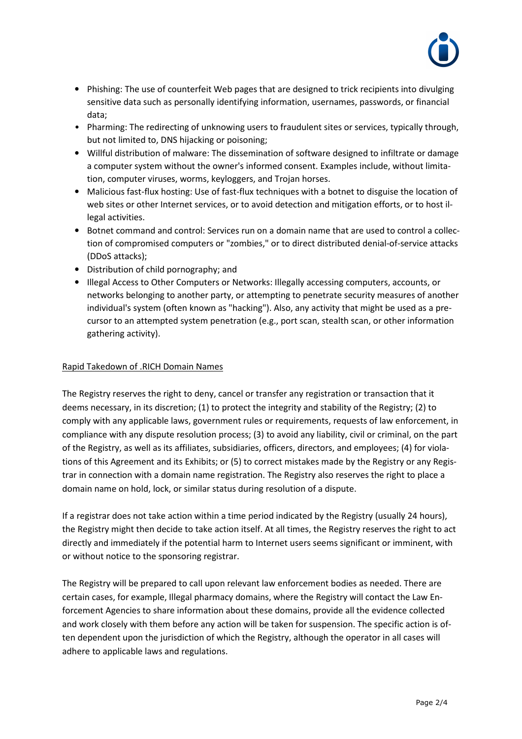

- Phishing: The use of counterfeit Web pages that are designed to trick recipients into divulging sensitive data such as personally identifying information, usernames, passwords, or financial data;
- Pharming: The redirecting of unknowing users to fraudulent sites or services, typically through, but not limited to, DNS hijacking or poisoning;
- Willful distribution of malware: The dissemination of software designed to infiltrate or damage a computer system without the owner's informed consent. Examples include, without limitation, computer viruses, worms, keyloggers, and Trojan horses.
- Malicious fast-flux hosting: Use of fast-flux techniques with a botnet to disguise the location of web sites or other Internet services, or to avoid detection and mitigation efforts, or to host illegal activities.
- Botnet command and control: Services run on a domain name that are used to control a collection of compromised computers or "zombies," or to direct distributed denial-of-service attacks (DDoS attacks);
- Distribution of child pornography; and
- Illegal Access to Other Computers or Networks: Illegally accessing computers, accounts, or networks belonging to another party, or attempting to penetrate security measures of another individual's system (often known as "hacking"). Also, any activity that might be used as a precursor to an attempted system penetration (e.g., port scan, stealth scan, or other information gathering activity).

## Rapid Takedown of .RICH Domain Names

The Registry reserves the right to deny, cancel or transfer any registration or transaction that it deems necessary, in its discretion; (1) to protect the integrity and stability of the Registry; (2) to comply with any applicable laws, government rules or requirements, requests of law enforcement, in compliance with any dispute resolution process; (3) to avoid any liability, civil or criminal, on the part of the Registry, as well as its affiliates, subsidiaries, officers, directors, and employees; (4) for violations of this Agreement and its Exhibits; or (5) to correct mistakes made by the Registry or any Registrar in connection with a domain name registration. The Registry also reserves the right to place a domain name on hold, lock, or similar status during resolution of a dispute.

If a registrar does not take action within a time period indicated by the Registry (usually 24 hours), the Registry might then decide to take action itself. At all times, the Registry reserves the right to act directly and immediately if the potential harm to Internet users seems significant or imminent, with or without notice to the sponsoring registrar.

The Registry will be prepared to call upon relevant law enforcement bodies as needed. There are certain cases, for example, Illegal pharmacy domains, where the Registry will contact the Law Enforcement Agencies to share information about these domains, provide all the evidence collected and work closely with them before any action will be taken for suspension. The specific action is often dependent upon the jurisdiction of which the Registry, although the operator in all cases will adhere to applicable laws and regulations.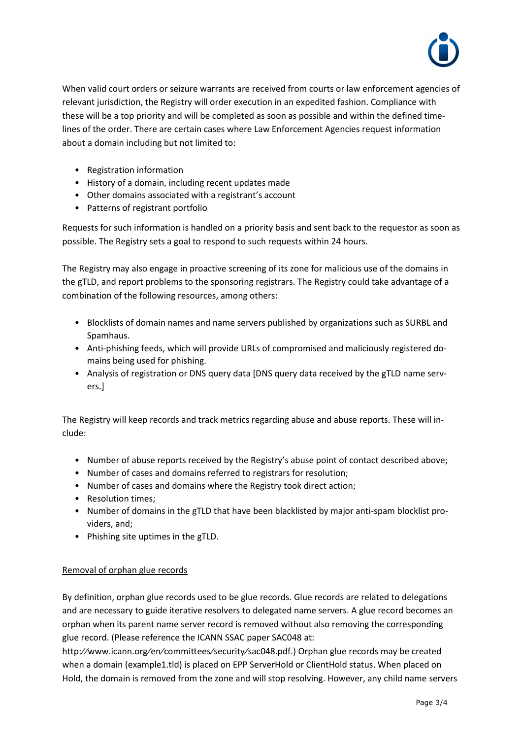

When valid court orders or seizure warrants are received from courts or law enforcement agencies of relevant jurisdiction, the Registry will order execution in an expedited fashion. Compliance with these will be a top priority and will be completed as soon as possible and within the defined timelines of the order. There are certain cases where Law Enforcement Agencies request information about a domain including but not limited to:

- Registration information
- History of a domain, including recent updates made
- Other domains associated with a registrant's account
- Patterns of registrant portfolio

Requests for such information is handled on a priority basis and sent back to the requestor as soon as possible. The Registry sets a goal to respond to such requests within 24 hours.

The Registry may also engage in proactive screening of its zone for malicious use of the domains in the gTLD, and report problems to the sponsoring registrars. The Registry could take advantage of a combination of the following resources, among others:

- Blocklists of domain names and name servers published by organizations such as SURBL and Spamhaus.
- Anti-phishing feeds, which will provide URLs of compromised and maliciously registered domains being used for phishing.
- Analysis of registration or DNS query data [DNS query data received by the gTLD name servers.]

The Registry will keep records and track metrics regarding abuse and abuse reports. These will include:

- Number of abuse reports received by the Registry's abuse point of contact described above;
- Number of cases and domains referred to registrars for resolution;
- Number of cases and domains where the Registry took direct action;
- Resolution times;
- Number of domains in the gTLD that have been blacklisted by major anti-spam blocklist providers, and;
- Phishing site uptimes in the gTLD.

# Removal of orphan glue records

By definition, orphan glue records used to be glue records. Glue records are related to delegations and are necessary to guide iterative resolvers to delegated name servers. A glue record becomes an orphan when its parent name server record is removed without also removing the corresponding glue record. (Please reference the ICANN SSAC paper SAC048 at:

http://www.icann.org/en/committees/security/sac048.pdf.) Orphan glue records may be created when a domain (example1.tld) is placed on EPP ServerHold or ClientHold status. When placed on Hold, the domain is removed from the zone and will stop resolving. However, any child name servers